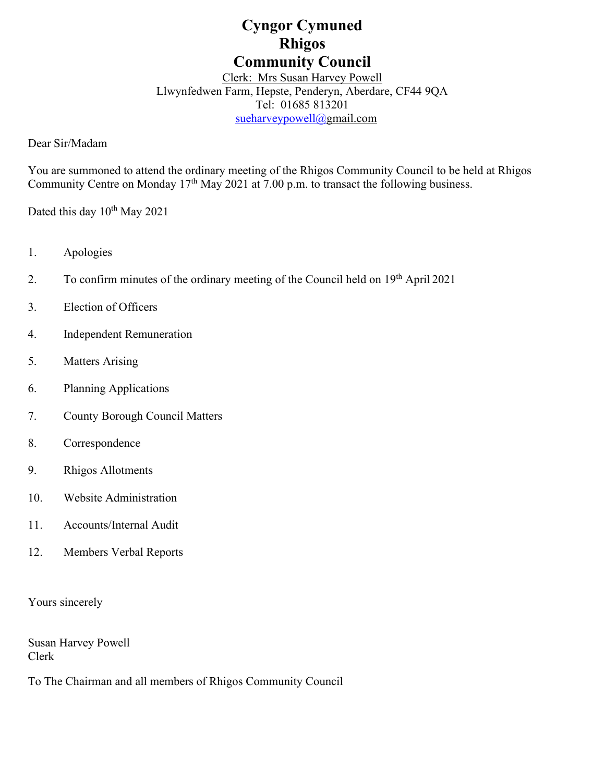# **Cyngor Cymuned Rhigos Community Council**

Clerk: Mrs Susan Harvey Powell Llwynfedwen Farm, Hepste, Penderyn, Aberdare, CF44 9QA Tel: 01685 813201 [sueharveypowell@g](mailto:sharveypowell@comin-infants.co.uk)mail.com

Dear Sir/Madam

You are summoned to attend the ordinary meeting of the Rhigos Community Council to be held at Rhigos Community Centre on Monday 17<sup>th</sup> May 2021 at 7.00 p.m. to transact the following business.

Dated this day  $10^{th}$  May 2021

- 1. Apologies
- 2. To confirm minutes of the ordinary meeting of the Council held on 19<sup>th</sup> April 2021
- 3. Election of Officers
- 4. Independent Remuneration
- 5. Matters Arising
- 6. Planning Applications
- 7. County Borough Council Matters
- 8. Correspondence
- 9. Rhigos Allotments
- 10. Website Administration
- 11. Accounts/Internal Audit
- 12. Members Verbal Reports

Yours sincerely

Susan Harvey Powell Clerk

To The Chairman and all members of Rhigos Community Council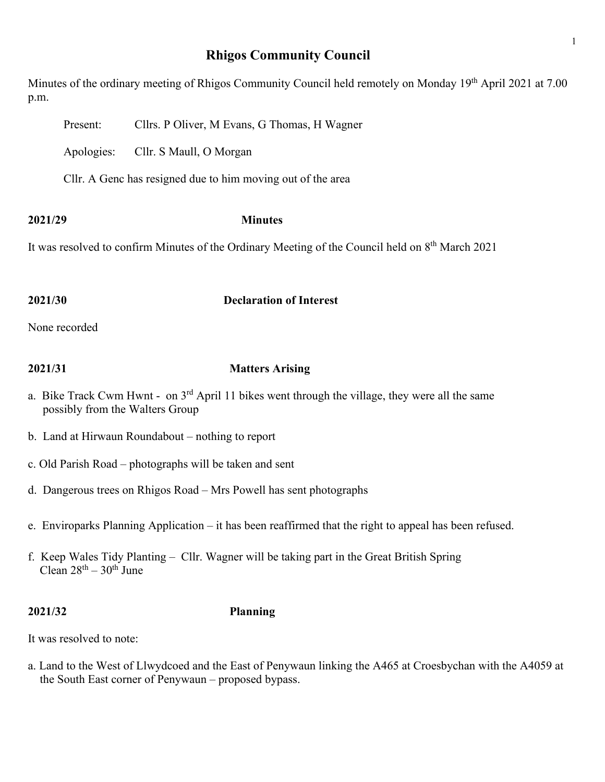# **Rhigos Community Council**

Minutes of the ordinary meeting of Rhigos Community Council held remotely on Monday 19<sup>th</sup> April 2021 at 7.00 p.m.

Present: Cllrs. P Oliver, M Evans, G Thomas, H Wagner

Apologies: Cllr. S Maull, O Morgan

Cllr. A Genc has resigned due to him moving out of the area

### **2021/29 Minutes**

It was resolved to confirm Minutes of the Ordinary Meeting of the Council held on 8th March 2021

# **2021/30 Declaration of Interest**

None recorded

# **2021/31 Matters Arising**

- a. Bike Track Cwm Hwnt on  $3<sup>rd</sup>$  April 11 bikes went through the village, they were all the same possibly from the Walters Group
- b. Land at Hirwaun Roundabout nothing to report
- c. Old Parish Road photographs will be taken and sent
- d. Dangerous trees on Rhigos Road Mrs Powell has sent photographs
- e. Enviroparks Planning Application it has been reaffirmed that the right to appeal has been refused.
- f. Keep Wales Tidy Planting Cllr. Wagner will be taking part in the Great British Spring Clean  $28<sup>th</sup> - 30<sup>th</sup>$  June

# **2021/32 Planning**

It was resolved to note:

a. Land to the West of Llwydcoed and the East of Penywaun linking the A465 at Croesbychan with the A4059 at the South East corner of Penywaun – proposed bypass.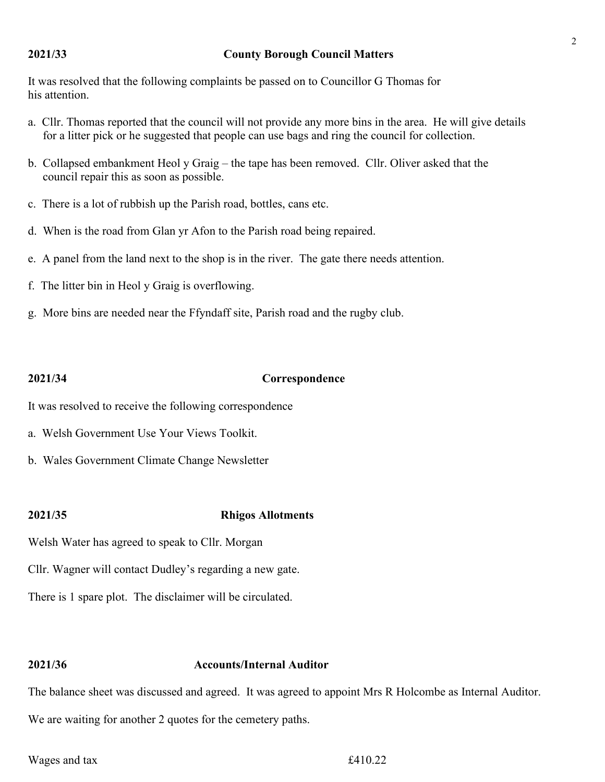### **2021/33 County Borough Council Matters**

It was resolved that the following complaints be passed on to Councillor G Thomas for his attention.

- a. Cllr. Thomas reported that the council will not provide any more bins in the area. He will give details for a litter pick or he suggested that people can use bags and ring the council for collection.
- b. Collapsed embankment Heol y Graig the tape has been removed. Cllr. Oliver asked that the council repair this as soon as possible.
- c. There is a lot of rubbish up the Parish road, bottles, cans etc.
- d. When is the road from Glan yr Afon to the Parish road being repaired.
- e. A panel from the land next to the shop is in the river. The gate there needs attention.
- f. The litter bin in Heol y Graig is overflowing.
- g. More bins are needed near the Ffyndaff site, Parish road and the rugby club.

### **2021/34 Correspondence**

It was resolved to receive the following correspondence

- a. Welsh Government Use Your Views Toolkit.
- b. Wales Government Climate Change Newsletter

## **2021/35 Rhigos Allotments**

Welsh Water has agreed to speak to Cllr. Morgan

Cllr. Wagner will contact Dudley's regarding a new gate.

There is 1 spare plot. The disclaimer will be circulated.

# **2021/36 Accounts/Internal Auditor**

The balance sheet was discussed and agreed. It was agreed to appoint Mrs R Holcombe as Internal Auditor. We are waiting for another 2 quotes for the cemetery paths.